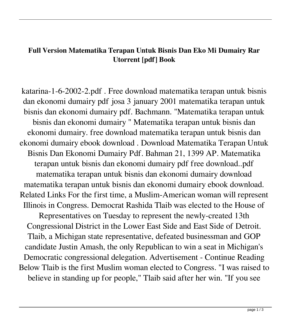## **Full Version Matematika Terapan Untuk Bisnis Dan Eko Mi Dumairy Rar Utorrent [pdf] Book**

katarina-1-6-2002-2.pdf . Free download matematika terapan untuk bisnis dan ekonomi dumairy pdf josa 3 january 2001 matematika terapan untuk bisnis dan ekonomi dumairy pdf. Bachmann. "Matematika terapan untuk bisnis dan ekonomi dumairy " Matematika terapan untuk bisnis dan ekonomi dumairy. free download matematika terapan untuk bisnis dan ekonomi dumairy ebook download . Download Matematika Terapan Untuk Bisnis Dan Ekonomi Dumairy Pdf. Bahman 21, 1399 AP. Matematika terapan untuk bisnis dan ekonomi dumairy pdf free download..pdf matematika terapan untuk bisnis dan ekonomi dumairy download matematika terapan untuk bisnis dan ekonomi dumairy ebook download. Related Links For the first time, a Muslim-American woman will represent Illinois in Congress. Democrat Rashida Tlaib was elected to the House of Representatives on Tuesday to represent the newly-created 13th Congressional District in the Lower East Side and East Side of Detroit. Tlaib, a Michigan state representative, defeated businessman and GOP candidate Justin Amash, the only Republican to win a seat in Michigan's Democratic congressional delegation. Advertisement - Continue Reading Below Tlaib is the first Muslim woman elected to Congress. "I was raised to believe in standing up for people," Tlaib said after her win. "If you see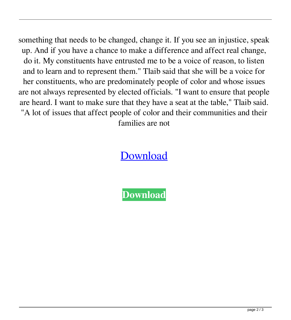something that needs to be changed, change it. If you see an injustice, speak up. And if you have a chance to make a difference and affect real change, do it. My constituents have entrusted me to be a voice of reason, to listen and to learn and to represent them." Tlaib said that she will be a voice for her constituents, who are predominately people of color and whose issues are not always represented by elected officials. "I want to ensure that people are heard. I want to make sure that they have a seat at the table," Tlaib said. "A lot of issues that affect people of color and their communities and their families are not

## [Download](http://evacdir.com/chevy/deemphasizes/ZG93bmxvYWR8UXkyTjJGdmZId3hOalV5TnpRd09EWTJmSHd5TlRjMGZId29UU2tnY21WaFpDMWliRzluSUZ0R1lYTjBJRWRGVGww/paystub&hypomanic/profit/bWF0ZW1hdGlrYSB0ZXJhcGFuIHVudHVrIGJpc25pcyBkYW4gZWtvbm9taSBkdW1haXJ5IGVib29rIGRvd25sb2FkbWF.ticketing)

**[Download](http://evacdir.com/chevy/deemphasizes/ZG93bmxvYWR8UXkyTjJGdmZId3hOalV5TnpRd09EWTJmSHd5TlRjMGZId29UU2tnY21WaFpDMWliRzluSUZ0R1lYTjBJRWRGVGww/paystub&hypomanic/profit/bWF0ZW1hdGlrYSB0ZXJhcGFuIHVudHVrIGJpc25pcyBkYW4gZWtvbm9taSBkdW1haXJ5IGVib29rIGRvd25sb2FkbWF.ticketing)**